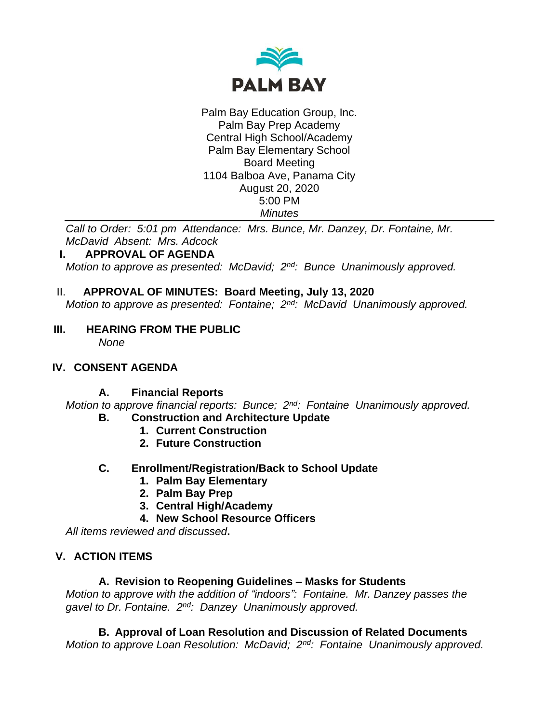

Palm Bay Education Group, Inc. Palm Bay Prep Academy Central High School/Academy Palm Bay Elementary School Board Meeting 1104 Balboa Ave, Panama City August 20, 2020 5:00 PM *Minutes*

*Call to Order: 5:01 pm Attendance: Mrs. Bunce, Mr. Danzey, Dr. Fontaine, Mr. McDavid Absent: Mrs. Adcock*

### **I. APPROVAL OF AGENDA**

*Motion to approve as presented: McDavid; 2nd: Bunce Unanimously approved.*

### II. **APPROVAL OF MINUTES: Board Meeting, July 13, 2020**

*Motion to approve as presented: Fontaine; 2nd : McDavid Unanimously approved.*

**III. HEARING FROM THE PUBLIC**

*None*

### **IV. CONSENT AGENDA**

### **A. Financial Reports**

*Motion to approve financial reports: Bunce; 2nd: Fontaine Unanimously approved.*

- **B. Construction and Architecture Update**
	- **1. Current Construction**
	- **2. Future Construction**
- **C. Enrollment/Registration/Back to School Update**
	- **1. Palm Bay Elementary**
	- **2. Palm Bay Prep**
	- **3. Central High/Academy**
	- **4. New School Resource Officers**

*All items reviewed and discussed***.**

# **V. ACTION ITEMS**

### **A. Revision to Reopening Guidelines – Masks for Students**

*Motion to approve with the addition of "indoors": Fontaine. Mr. Danzey passes the gavel to Dr. Fontaine. 2nd: Danzey Unanimously approved.*

# **B. Approval of Loan Resolution and Discussion of Related Documents**

*Motion to approve Loan Resolution: McDavid; 2nd: Fontaine Unanimously approved.*